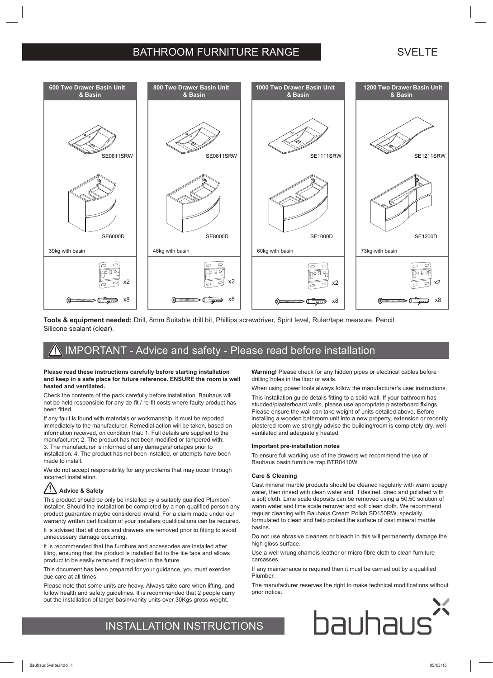## BATHROOM FURNITURE RANGE SVELTE



**Tools & equipment needed:** Drill, 8mm Suitable drill bit, Phillips screwdriver, Spirit level, Ruler/tape measure, Pencil, Silicone sealant (clear).

# IMPORTANT - Advice and safety - Please read before installation

#### **Please read these instructions carefully before starting installation and keep in a safe place for future reference. ENSURE the room is well heated and ventilated.**

Check the contents of the pack carefully before installation. Bauhaus will not be held responsible for any de-fit / re-fit costs where faulty product has been fitted.

If any fault is found with materials or workmanship, it must be reported immediately to the manufacturer. Remedial action will be taken, based on information received, on condition that: 1. Full details are supplied to the manufacturer; 2. The product has not been modified or tampered with; 3. The manufacturer is informed of any damage/shortages prior to installation. 4. The product has not been installed, or attempts have been made to install.

We do not accept responsibility for any problems that may occur through incorrect installation.

#### /!` **Advice & Safety**

This product should be only be installed by a suitably qualified Plumber/ installer. Should the installation be completed by a non-qualified person any product guarantee maybe considered invalid. For a claim made under our warranty written certification of your installers qualifications can be required.

It is advised that all doors and drawers are removed prior to fitting to avoid unnecessary damage occurring.

It is recommended that the furniture and accessories are installed after tiling, ensuring that the product is installed flat to the tile face and allows product to be easily removed if required in the future.

This document has been prepared for your guidance, you must exercise due care at all times.

Please note that some units are heavy. Always take care when lifting, and follow health and safety quidelines. It is recommended that 2 people carry out the installation of larger basin/vanity units over 30Kgs gross weight.

**Warning!** Please check for any hidden pipes or electrical cables before drilling holes in the floor or walls.

When using power tools always follow the manufacturer's user instructions. This installation guide details fitting to a solid wall. If your bathroom has studded/plasterboard walls, please use appropriate plasterboard fixings. Please ensure the wall can take weight of units detailed above. Before installing a wooden bathroom unit into a new property, extension or recently plastered room we strongly advise the building/room is completely dry, well ventilated and adequately heated.

#### **Important pre-installation notes**

To ensure full working use of the drawers we recommend the use of Bauhaus basin furniture trap BTR0410W.

#### **Care & Cleaning**

Cast mineral marble products should be cleaned regularly with warm soapy water, then rinsed with clean water and, if desired, dried and polished with a soft cloth. Lime scale deposits can be removed using a 50:50 solution of warm water and lime scale remover and soft clean cloth. We recommend regular cleaning with Bauhaus Cream Polish SD150RW, specially formulated to clean and help protect the surface of cast mineral marble basins.

Do not use abrasive cleaners or bleach in this will permanently damage the high gloss surface.

Use a well wrung chamois leather or micro fibre cloth to clean furniture carcasses.

If any maintenance is required then it must be carried out by a qualified **Plumber** 

The manufacturer reserves the right to make technical modifications without prior notice.



## INSTALLATION INSTRUCTIONS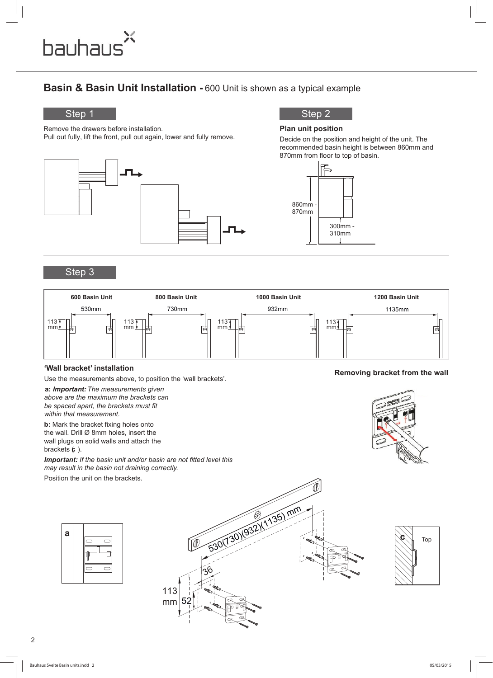# bauhaus

# **Basin & Basin Unit Installation -** 600 Unit is shown as a typical example

Remove the drawers before installation. Pull out fully, lift the front, pull out again, lower and fully remove.



CHECKED APPROVED

## Step 3



**'Wall bracket' installation Removing bracket from the wall** Use the measurements above, to position the 'wall brackets'. **897 AS Z1 60 70**

**a:** *Important: The measurements given above are the maximum the brackets can be spaced apart, the brackets must fit within that measurement.*

**b:** Mark the bracket fixing holes onto the wall. Drill Ø 8mm holes, insert the wall plugs on solid walls and attach the brackets (**c** ).

*Important: If the basin unit and/or basin are not fitted level this may result in the basin not draining correctly.* Position the unit on the brackets.









#### Bauhaus Svelte Basin units.indd 2 05/03/2015





# Step 1 Step 2

## **Plan unit position** 1

860mm - 870mm

Decide on the position and height of the unit. The recommended basin height is between 860mm and 870mm from floor to top of basin.

3D

300mm - 310mm